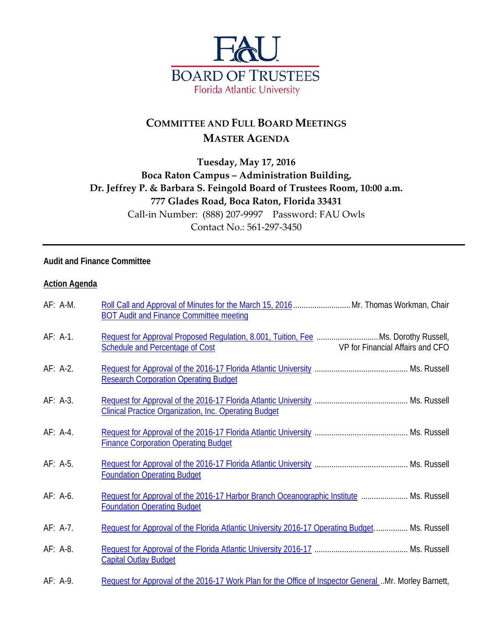

# **COMMITTEE AND FULL BOARD MEETINGS MASTER AGENDA**

## **Tuesday, May 17, 2016 Boca Raton Campus – Administration Building, Dr. Jeffrey P. & Barbara S. Feingold Board of Trustees Room, 10:00 a.m. 777 Glades Road, Boca Raton, Florida 33431** Call-in Number: (888) 207-9997 Password: FAU Owls Contact No.: 561-297-3450

### **Audit and Finance Committee**

#### **Action Agenda**

| $AF: A-M.$ | Roll Call and Approval of Minutes for the March 15, 2016  Mr. Thomas Workman, Chair<br><b>BOT Audit and Finance Committee meeting</b> |                                  |
|------------|---------------------------------------------------------------------------------------------------------------------------------------|----------------------------------|
| AF: A-1.   | Request for Approval Proposed Requiation, 8.001, Tuition, Fee  Ms. Dorothy Russell,<br><b>Schedule and Percentage of Cost</b>         | VP for Financial Affairs and CFO |
| AF: A-2.   | <b>Research Corporation Operating Budget</b>                                                                                          |                                  |
| AF: A-3.   | <b>Clinical Practice Organization, Inc. Operating Budget</b>                                                                          |                                  |
| AF: A-4.   | <b>Finance Corporation Operating Budget</b>                                                                                           |                                  |
| AF: A-5.   | <b>Foundation Operating Budget</b>                                                                                                    |                                  |
| $AF: A-6.$ | Request for Approval of the 2016-17 Harbor Branch Oceanographic Institute  Ms. Russell<br><b>Foundation Operating Budget</b>          |                                  |
| AF: A-7.   | Request for Approval of the Florida Atlantic University 2016-17 Operating Budget Ms. Russell                                          |                                  |
| AF: A-8.   | <b>Capital Outlay Budget</b>                                                                                                          |                                  |
| AF: A-9.   | Request for Approval of the 2016-17 Work Plan for the Office of Inspector General. Mr. Morley Barnett,                                |                                  |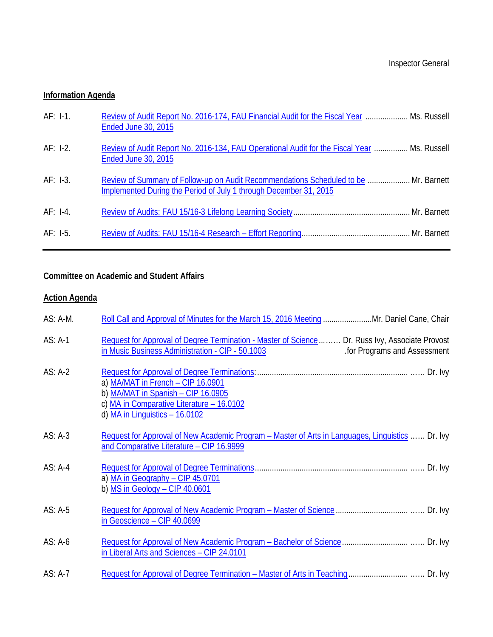## **Information Agenda**

| $AF: I-1.$ | Review of Audit Report No. 2016-174, FAU Financial Audit for the Fiscal Year  Ms. Russell<br><b>Ended June 30, 2015</b>                                   |  |
|------------|-----------------------------------------------------------------------------------------------------------------------------------------------------------|--|
| $AF: I-2.$ | Review of Audit Report No. 2016-134, FAU Operational Audit for the Fiscal Year  Ms. Russell<br><b>Ended June 30, 2015</b>                                 |  |
| $AF: I-3.$ | Review of Summary of Follow-up on Audit Recommendations Scheduled to be  Mr. Barnett<br>Implemented During the Period of July 1 through December 31, 2015 |  |
| $AF: I-4.$ |                                                                                                                                                           |  |
| $AF: I-5.$ |                                                                                                                                                           |  |

## **Committee on Academic and Student Affairs**

## **Action Agenda**

| AS: A-M.  | Roll Call and Approval of Minutes for the March 15, 2016 Meeting  Mr. Daniel Cane, Chair                                                                                           |
|-----------|------------------------------------------------------------------------------------------------------------------------------------------------------------------------------------|
| $AS: A-1$ | Request for Approval of Degree Termination - Master of Science  Dr. Russ Ivy, Associate Provost<br>in Music Business Administration - CIP - 50.1003<br>for Programs and Assessment |
| AS: A-2   | a) MA/MAT in French - CIP 16.0901<br>b) MA/MAT in Spanish - CIP 16.0905<br>c) MA in Comparative Literature - 16.0102<br>d) $MA$ in Linguistics $-16.0102$                          |
| $AS: A-3$ | Request for Approval of New Academic Program – Master of Arts in Languages, Linguistics  Dr. Ivy<br>and Comparative Literature - CIP 16.9999                                       |
| $AS: A-4$ | a) MA in Geography - CIP 45.0701<br>b) $MS$ in Geology - CIP 40.0601                                                                                                               |
| $AS: A-5$ | in Geoscience - CIP 40.0699                                                                                                                                                        |
| $AS: A-6$ | in Liberal Arts and Sciences - CIP 24.0101                                                                                                                                         |
| AS: A-7   |                                                                                                                                                                                    |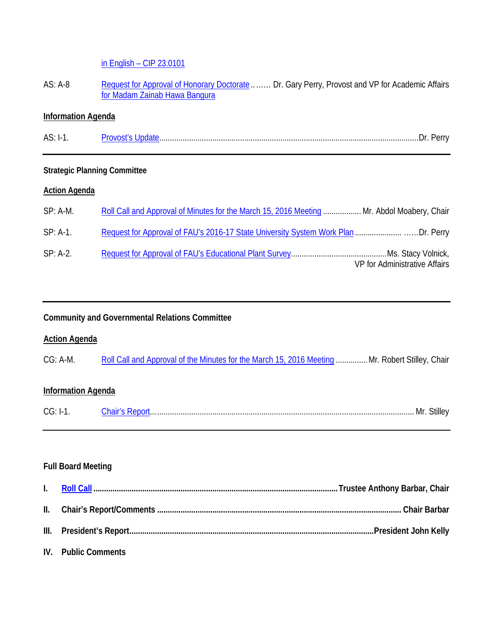in English – [CIP 23.0101](http://www.fau.edu/bot/meetings/05172016/casa/as.a7.casa.pdf)

AS: A-8 [Request for Approval of Honorary Doctorate](http://www.fau.edu/bot/meetings/05172016/casa/as.a8.pdf) ........ Dr. Gary Perry, Provost and VP for Academic Affairs [for Madam Zainab Hawa Bangura](http://www.fau.edu/bot/meetings/05172016/casa/as.a8.pdf)

## **Information Agenda**

AS: I-1. [Provost's Update.](http://www.fau.edu/bot/meetings/05172016/casa/as.i1.pdf).........................................................................................................................Dr. Perry

## **Strategic Planning Committee**

#### **Action Agenda**

| $SP: A-M.$ | Roll Call and Approval of Minutes for the March 15, 2016 Meeting  Mr. Abdol Moabery, Chair |
|------------|--------------------------------------------------------------------------------------------|
| $SP: A-1.$ |                                                                                            |
| $SP: A-2.$ | VP for Administrative Affairs                                                              |

### **Community and Governmental Relations Committee**

#### **Action Agenda**

| $CG: A-M.$ | Roll Call and Approval of the Minutes for the March 15, 2016 Meeting  Mr. Robert Stilley, Chair |  |
|------------|-------------------------------------------------------------------------------------------------|--|
|            |                                                                                                 |  |

## **Information Agenda**

|  |  | N/Ir |  |  |
|--|--|------|--|--|
|--|--|------|--|--|

### **Full Board Meeting**

| IV. Public Comments |  |
|---------------------|--|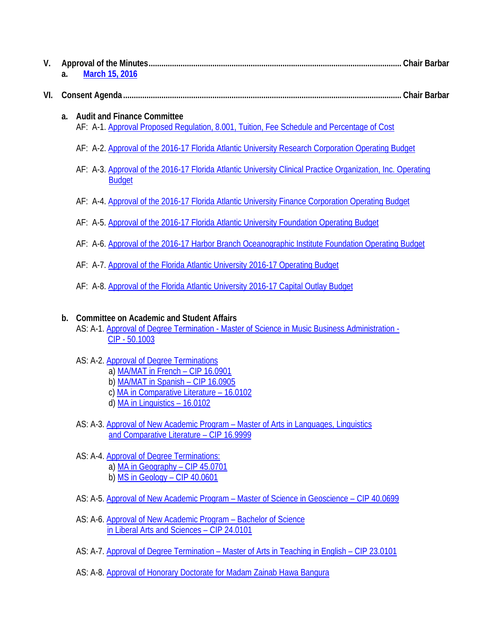| V.  | March 15, 2016<br>a.                                                                                                                                                      |  |
|-----|---------------------------------------------------------------------------------------------------------------------------------------------------------------------------|--|
| VI. |                                                                                                                                                                           |  |
|     | <b>Audit and Finance Committee</b><br>a.<br>AF: A-1. Approval Proposed Regulation, 8.001, Tuition, Fee Schedule and Percentage of Cost                                    |  |
|     | AF: A-2. Approval of the 2016-17 Florida Atlantic University Research Corporation Operating Budget                                                                        |  |
|     | AF: A-3. Approval of the 2016-17 Florida Atlantic University Clinical Practice Organization, Inc. Operating<br><b>Budget</b>                                              |  |
|     | AF: A-4. Approval of the 2016-17 Florida Atlantic University Finance Corporation Operating Budget                                                                         |  |
|     | AF: A-5. Approval of the 2016-17 Florida Atlantic University Foundation Operating Budget                                                                                  |  |
|     | AF: A-6. Approval of the 2016-17 Harbor Branch Oceanographic Institute Foundation Operating Budget                                                                        |  |
|     | AF: A-7. Approval of the Florida Atlantic University 2016-17 Operating Budget                                                                                             |  |
|     | AF: A-8. Approval of the Florida Atlantic University 2016-17 Capital Outlay Budget                                                                                        |  |
|     | <b>Committee on Academic and Student Affairs</b><br>b.<br>AS: A-1. Approval of Degree Termination - Master of Science in Music Business Administration -<br>CIP - 50.1003 |  |
|     | AS: A-2. Approval of Degree Terminations<br>a) MA/MAT in French - CIP 16.0901<br>b) MA/MAT in Spanish - CIP 16.0905<br>c) MA in Comparative Literature - 16.0102          |  |

- d) <u>[MA in Linguistics –](http://www.fau.edu/bot/meetings/05172016/casa/as.a2.full.pdf) 16.0102</u>
- AS: A-3. Approval of New Academic Program [Master of Arts in Languages, Linguistics](http://www.fau.edu/bot/meetings/05172016/casa/as.a3.full.pdf) [and Comparative Literature –](http://www.fau.edu/bot/meetings/05172016/casa/as.a3.full.pdf) CIP 16.9999
- AS: A-4. [Approval of Degree Terminations:](http://www.fau.edu/bot/meetings/05172016/casa/as.a4.full.pdf) a) [MA in Geography –](http://www.fau.edu/bot/meetings/05172016/casa/as.a4.full.pdf) CIP 45.0701 b) [MS in Geology –](http://www.fau.edu/bot/meetings/05172016/casa/as.a4.full.pdf) CIP 40.0601
- AS: A-5. Approval of New Academic Program Master of Science in Geoscience CIP 40.0699
- AS: A-6. [Approval of New Academic Program –](http://www.fau.edu/bot/meetings/05172016/casa/as.a6.full.pdf) Bachelor of Science [in Liberal Arts and Sciences –](http://www.fau.edu/bot/meetings/05172016/casa/as.a6.full.pdf) CIP 24.0101
- AS: A-7. Approval of Degree Termination [Master of Arts in Teaching in English –](http://www.fau.edu/bot/meetings/05172016/casa/as.a7.full.pdf) CIP 23.0101
- AS: A-8. [Approval of Honorary Doctorate for Madam Zainab Hawa Bangura](http://www.fau.edu/bot/meetings/05172016/casa/as.a8.full.pdf)